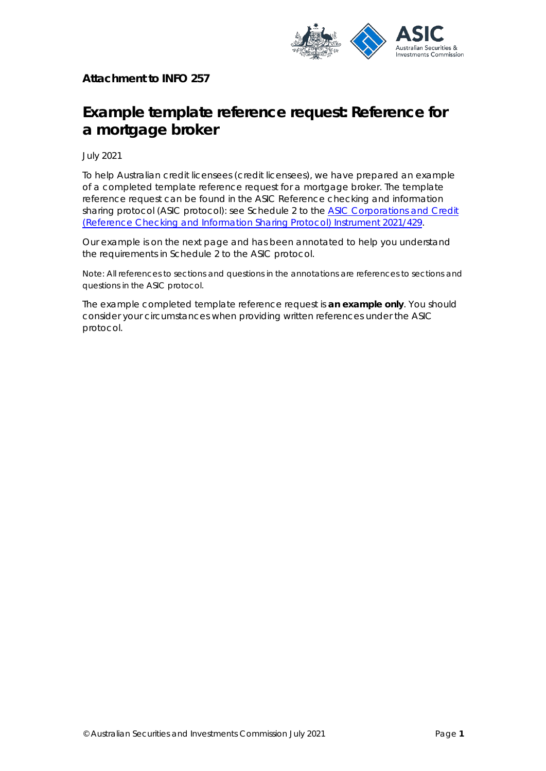

**Attachment to INFO 257** 

# **Example template reference request: Reference for a mortgage broker**

July 2021

To help Australian credit licensees (credit licensees), we have prepared an example of a completed template reference request for a mortgage broker. The template reference request can be found in the ASIC *Reference checking and information sharing protocol* (ASIC protocol): see Schedule 2 to the ASIC Corporations and Credit (Reference Checking and Information [Sharing Protocol\) Instrument 2021/429.](https://www.legislation.gov.au/Details/F2021L01003) 

Our example is on the next page and has been annotated to help you understand the requirements in Schedule 2 to the ASIC protocol.

Note: All references to sections and questions in the annotations are references to sections and questions in the ASIC protocol.

The example completed template reference request is **an example only**. You should consider your circumstances when providing written references under the ASIC protocol.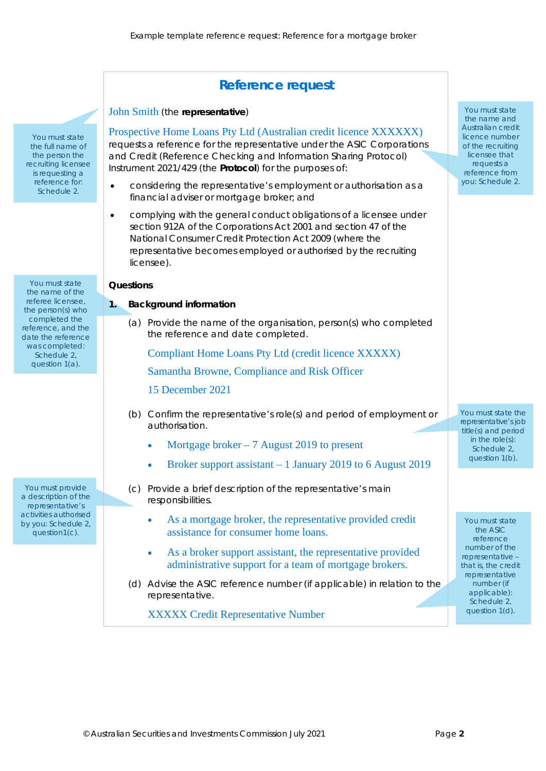# **Reference request**

#### John Smith (the *representative*)

Prospective Home Loans Pty Ltd (Australian credit licence XXXXXX) requests a reference for the representative under the *ASIC Corporations and Credit (Reference Checking and Information Sharing Protocol) Instrument 2021/429* (the *Protocol*) for the purposes of:

- considering the representative's employment or authorisation as a financial adviser or mortgage broker; and
- complying with the general conduct obligations of a licensee under section 912A of the *Corporations Act 2001* and section 47 of the *National Consumer Credit Protection Act 2009* (where the representative becomes employed or authorised by the recruiting licensee).

#### **Questions**

#### **1. Background information**

(a) Provide the name of the organisation, person(s) who completed the reference and date completed.

Compliant Home Loans Pty Ltd (credit licence XXXXX)

Samantha Browne, Compliance and Risk Officer

- 15 December 2021
- (b) Confirm the representative's role(s) and period of employment or authorisation.
	- Mortgage broker 7 August 2019 to present
	- Broker support assistant 1 January 2019 to 6 August 2019
- (c) Provide a brief description of the representative's main responsibilities.
	- As a mortgage broker, the representative provided credit assistance for consumer home loans.
	- As a broker support assistant, the representative provided administrative support for a team of mortgage brokers.
- (d) Advise the ASIC reference number (if applicable) in relation to the representative.

XXXXX Credit Representative Number

the name and Australian credit licence number of the recruiting licensee that requests a reference from you: Schedule 2.

You must state

You must state the representative's job title(s) and period in the role(s): Schedule 2, question 1(b).

You must state the ASIC reference number of the representative – that is, the credit representative number (if applicable): Schedule 2, question 1(d).

You must state the name of the referee licensee, the person(s) who completed the reference, and the date the reference was completed: Schedule 2, question 1(a).

You must state the full name of the person the recruiting licensee is requesting a reference for: Schedule 2.

You must provide a description of the representative's activities authorised by you: Schedule 2, question1(c).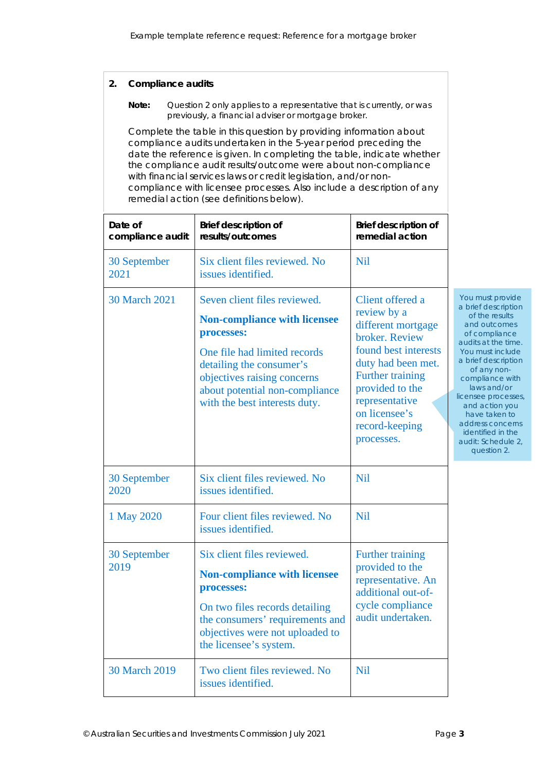# **2. Compliance audits**

#### Note: Question 2 only applies to a representative that is currently, or was previously, a financial adviser or mortgage broker.

Complete the table in this question by providing information about compliance audits undertaken in the 5-year period preceding the date the reference is given. In completing the table, indicate whether the compliance audit results/outcome were about non-compliance with financial services laws or credit legislation, and/or noncompliance with licensee processes. Also include a description of any remedial action (see definitions below).

| Date of<br>compliance audit | <b>Brief description of</b><br>results/outcomes                                                                                                                                                                                                 | <b>Brief description of</b><br>remedial action                                                                                                                                                                                  |                                                                                                                                                                                                                                                                                                                                                       |
|-----------------------------|-------------------------------------------------------------------------------------------------------------------------------------------------------------------------------------------------------------------------------------------------|---------------------------------------------------------------------------------------------------------------------------------------------------------------------------------------------------------------------------------|-------------------------------------------------------------------------------------------------------------------------------------------------------------------------------------------------------------------------------------------------------------------------------------------------------------------------------------------------------|
| 30 September<br>2021        | Six client files reviewed. No<br>issues identified.                                                                                                                                                                                             | <b>Nil</b>                                                                                                                                                                                                                      |                                                                                                                                                                                                                                                                                                                                                       |
| 30 March 2021               | Seven client files reviewed.<br><b>Non-compliance with licensee</b><br>processes:<br>One file had limited records<br>detailing the consumer's<br>objectives raising concerns<br>about potential non-compliance<br>with the best interests duty. | Client offered a<br>review by a<br>different mortgage<br>broker. Review<br>found best interests<br>duty had been met.<br>Further training<br>provided to the<br>representative<br>on licensee's<br>record-keeping<br>processes. | You must provide<br>a brief description<br>of the results<br>and outcomes<br>of compliance<br>audits at the time.<br>You must include<br>a brief description<br>of any non-<br>compliance with<br>laws and/or<br>licensee processes,<br>and action you<br>have taken to<br>address concerns<br>identified in the<br>audit: Schedule 2,<br>question 2. |
| 30 September<br>2020        | Six client files reviewed. No<br>issues identified.                                                                                                                                                                                             | <b>Nil</b>                                                                                                                                                                                                                      |                                                                                                                                                                                                                                                                                                                                                       |
| 1 May 2020                  | Four client files reviewed. No<br>issues identified.                                                                                                                                                                                            | <b>Nil</b>                                                                                                                                                                                                                      |                                                                                                                                                                                                                                                                                                                                                       |
| 30 September<br>2019        | Six client files reviewed.<br><b>Non-compliance with licensee</b><br>processes:<br>On two files records detailing<br>the consumers' requirements and<br>objectives were not uploaded to<br>the licensee's system.                               | Further training<br>provided to the<br>representative. An<br>additional out-of-<br>cycle compliance<br>audit undertaken.                                                                                                        |                                                                                                                                                                                                                                                                                                                                                       |
| 30 March 2019               | Two client files reviewed. No<br>issues identified.                                                                                                                                                                                             | <b>Nil</b>                                                                                                                                                                                                                      |                                                                                                                                                                                                                                                                                                                                                       |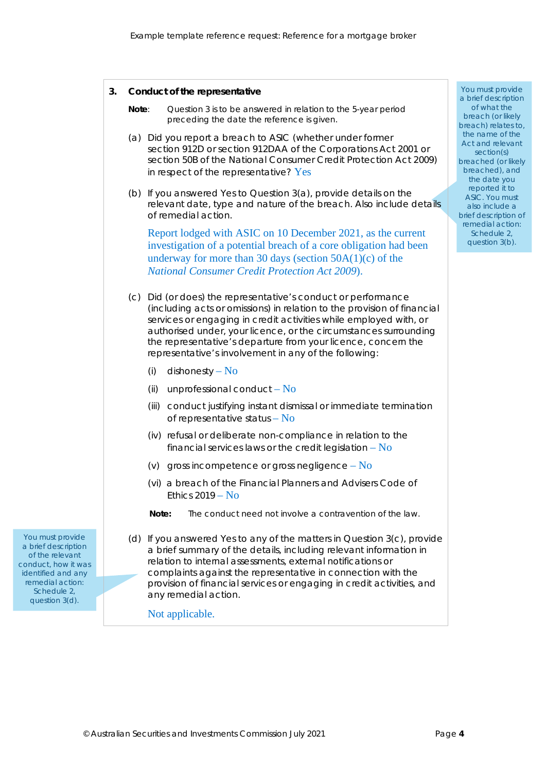|                                                                                                                                                              | 3.<br>Conduct of the representative                                                                                                                                                                                                                                                                                                                                                                         | You must provid<br>a brief descriptic<br>of what the<br>breach (or likely<br>breach) relates t<br>the name of the<br>Act and relevar<br>section(s)<br>breached (or like<br>breached), and<br>the date you |
|--------------------------------------------------------------------------------------------------------------------------------------------------------------|-------------------------------------------------------------------------------------------------------------------------------------------------------------------------------------------------------------------------------------------------------------------------------------------------------------------------------------------------------------------------------------------------------------|-----------------------------------------------------------------------------------------------------------------------------------------------------------------------------------------------------------|
|                                                                                                                                                              | Question 3 is to be answered in relation to the 5-year period<br>Note:<br>preceding the date the reference is given.                                                                                                                                                                                                                                                                                        |                                                                                                                                                                                                           |
|                                                                                                                                                              | (a) Did you report a breach to ASIC (whether under former<br>section 912D or section 912DAA of the Corporations Act 2001 or<br>section 50B of the National Consumer Credit Protection Act 2009)<br>in respect of the representative? Yes                                                                                                                                                                    |                                                                                                                                                                                                           |
|                                                                                                                                                              | (b) If you answered Yes to Question 3(a), provide details on the<br>relevant date, type and nature of the breach. Also include details<br>of remedial action.                                                                                                                                                                                                                                               | reported it to<br><b>ASIC. You must</b><br>also include a<br>brief description                                                                                                                            |
|                                                                                                                                                              | Report lodged with ASIC on 10 December 2021, as the current<br>investigation of a potential breach of a core obligation had been<br>underway for more than 30 days (section $50A(1)(c)$ of the<br><b>National Consumer Credit Protection Act 2009).</b>                                                                                                                                                     | remedial action<br>Schedule 2,<br>question 3(b).                                                                                                                                                          |
|                                                                                                                                                              | (c) Did (or does) the representative's conduct or performance<br>(including acts or omissions) in relation to the provision of financial<br>services or engaging in credit activities while employed with, or<br>authorised under, your licence, or the circumstances surrounding<br>the representative's departure from your licence, concern the<br>representative's involvement in any of the following: |                                                                                                                                                                                                           |
|                                                                                                                                                              | dishonesty – $No$<br>(i)                                                                                                                                                                                                                                                                                                                                                                                    |                                                                                                                                                                                                           |
|                                                                                                                                                              | unprofessional conduct $-$ No<br>(ii)                                                                                                                                                                                                                                                                                                                                                                       |                                                                                                                                                                                                           |
|                                                                                                                                                              | conduct justifying instant dismissal or immediate termination<br>(iii)<br>of representative status $-$ No                                                                                                                                                                                                                                                                                                   |                                                                                                                                                                                                           |
|                                                                                                                                                              | (iv) refusal or deliberate non-compliance in relation to the<br>financial services laws or the credit legislation $-$ No                                                                                                                                                                                                                                                                                    |                                                                                                                                                                                                           |
|                                                                                                                                                              | (v) gross incompetence or gross negligence $-$ No                                                                                                                                                                                                                                                                                                                                                           |                                                                                                                                                                                                           |
|                                                                                                                                                              | (vi) a breach of the Financial Planners and Advisers Code of<br>Ethics $2019 - No$                                                                                                                                                                                                                                                                                                                          |                                                                                                                                                                                                           |
|                                                                                                                                                              | The conduct need not involve a contravention of the law.<br>Note:                                                                                                                                                                                                                                                                                                                                           |                                                                                                                                                                                                           |
| You must provide<br>a brief description<br>of the relevant<br>conduct, how it was<br>identified and any<br>remedial action:<br>Schedule 2.<br>question 3(d). | (d) If you answered Yes to any of the matters in Question 3(c), provide<br>a brief summary of the details, including relevant information in<br>relation to internal assessments, external notifications or<br>complaints against the representative in connection with the<br>provision of financial services or engaging in credit activities, and<br>any remedial action.                                |                                                                                                                                                                                                           |
|                                                                                                                                                              | Not applicable.                                                                                                                                                                                                                                                                                                                                                                                             |                                                                                                                                                                                                           |

You must provide a brief description of what the breach (or likely breach) relates to, the name of the Act and relevant section(s) breached (or likely breached), and the date you reported it to ASIC. You must also include a brief description of remedial action: Schedule 2, question 3(b).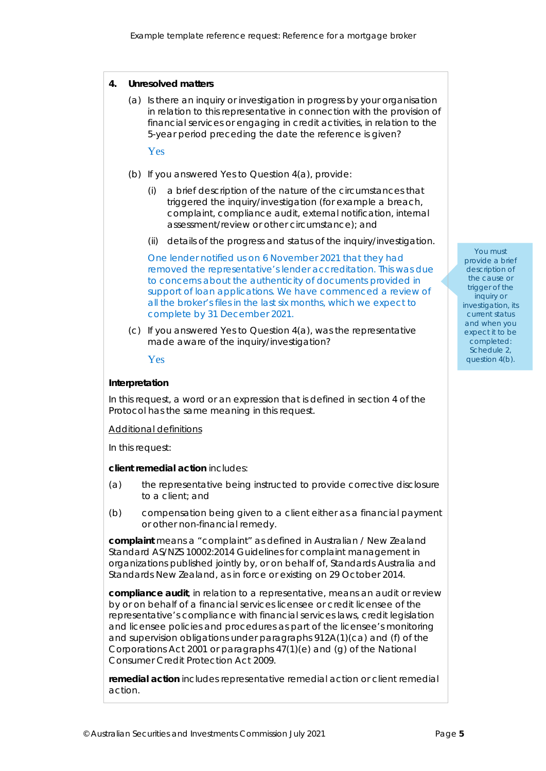#### **4. Unresolved matters**

(a) Is there an inquiry or investigation in progress by your organisation in relation to this representative in connection with the provision of financial services or engaging in credit activities, in relation to the 5-year period preceding the date the reference is given?

# Yes

- (b) If you answered Yes to Question 4(a), provide:
	- (i) a brief description of the nature of the circumstances that triggered the inquiry/investigation (for example a breach, complaint, compliance audit, external notification, internal assessment/review or other circumstance); and
	- (ii) details of the progress and status of the inquiry/investigation.

One lender notified us on 6 November 2021 that they had removed the representative's lender accreditation. This was due to concerns about the authenticity of documents provided in support of loan applications. We have commenced a review of all the broker's files in the last six months, which we expect to complete by 31 December 2021.

(c) If you answered Yes to Question 4(a), was the representative made aware of the inquiry/investigation?

# Yes

# **Interpretation**

In this request, a word or an expression that is defined in section 4 of the Protocol has the same meaning in this request.

Additional definitions

In this request:

#### *client remedial action* includes:

- (a) the representative being instructed to provide corrective disclosure to a client; and
- (b) compensation being given to a client either as a financial payment or other non-financial remedy.

*complaint* means a "complaint" as defined in Australian / New Zealand Standard AS/NZS 10002:2014 *Guidelines for complaint management in organizations* published jointly by, or on behalf of, Standards Australia and Standards New Zealand, as in force or existing on 29 October 2014.

*compliance audit*, in relation to a representative, means an audit or review by or on behalf of a financial services licensee or credit licensee of the representative's compliance with financial services laws, credit legislation and licensee policies and procedures as part of the licensee's monitoring and supervision obligations under paragraphs 912A(1)(ca) and (f) of the *Corporations Act 2001* or paragraphs 47(1)(e) and (g) of the *National Consumer Credit Protection Act 2009*.

*remedial action* includes representative remedial action or client remedial action.

#### You must

provide a brief description of the cause or trigger of the inquiry or investigation, its current status and when you expect it to be completed: Schedule 2 question 4(b).